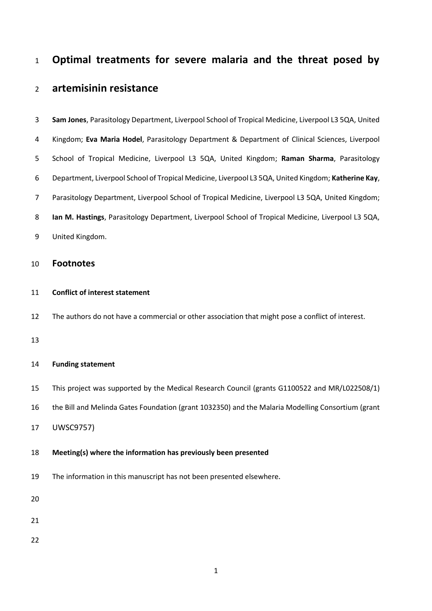# **Optimal treatments for severe malaria and the threat posed by**

# **artemisinin resistance**

| 10 | <b>Footnotes</b>                                                                                    |
|----|-----------------------------------------------------------------------------------------------------|
| 9  | United Kingdom.                                                                                     |
| 8  | Ian M. Hastings, Parasitology Department, Liverpool School of Tropical Medicine, Liverpool L3 5QA,  |
| 7  | Parasitology Department, Liverpool School of Tropical Medicine, Liverpool L3 5QA, United Kingdom;   |
| 6  | Department, Liverpool School of Tropical Medicine, Liverpool L3 5QA, United Kingdom; Katherine Kay, |
| 5. | School of Tropical Medicine, Liverpool L3 5QA, United Kingdom; Raman Sharma, Parasitology           |
| 4  | Kingdom; Eva Maria Hodel, Parasitology Department & Department of Clinical Sciences, Liverpool      |
| 3  | Sam Jones, Parasitology Department, Liverpool School of Tropical Medicine, Liverpool L3 5QA, United |

# **Conflict of interest statement**

The authors do not have a commercial or other association that might pose a conflict of interest.

## **Funding statement**

This project was supported by the Medical Research Council (grants G1100522 and MR/L022508/1)

the Bill and Melinda Gates Foundation (grant 1032350) and the Malaria Modelling Consortium (grant

UWSC9757)

## **Meeting(s) where the information has previously been presented**

The information in this manuscript has not been presented elsewhere**.**

- 
- 
-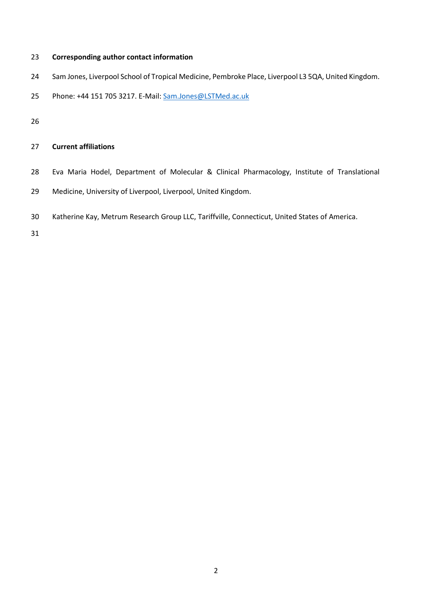## **Corresponding author contact information**

- Sam Jones, Liverpool School of Tropical Medicine, Pembroke Place, Liverpool L3 5QA, United Kingdom.
- 25 Phone: +44 151 705 3217. E-Mail: [Sam.Jones@LSTMed.ac.uk](mailto:Sam.Jones@LSTMed.ac.uk)

# **Current affiliations**

- Eva Maria Hodel, Department of Molecular & Clinical Pharmacology, Institute of Translational
- Medicine, University of Liverpool, Liverpool, United Kingdom.
- Katherine Kay, Metrum Research Group LLC, Tariffville, Connecticut, United States of America.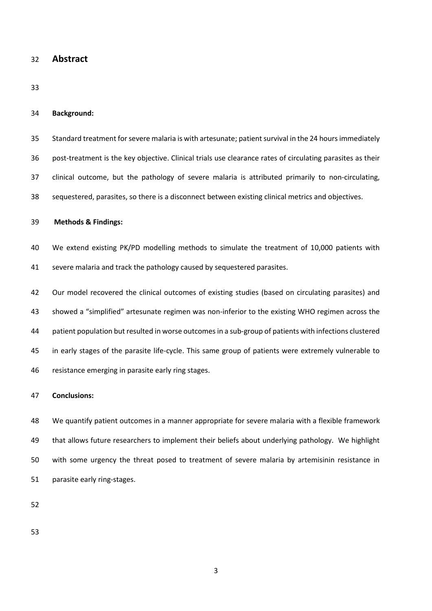**Abstract**

### **Background:**

- Standard treatment forsevere malaria is with artesunate; patient survival in the 24 hours immediately
- post-treatment is the key objective. Clinical trials use clearance rates of circulating parasites as their
- clinical outcome, but the pathology of severe malaria is attributed primarily to non-circulating,
- sequestered, parasites, so there is a disconnect between existing clinical metrics and objectives.

### **Methods & Findings:**

- We extend existing PK/PD modelling methods to simulate the treatment of 10,000 patients with severe malaria and track the pathology caused by sequestered parasites.
- Our model recovered the clinical outcomes of existing studies (based on circulating parasites) and showed a "simplified" artesunate regimen was non-inferior to the existing WHO regimen across the patient population but resulted in worse outcomesin a sub-group of patients with infections clustered in early stages of the parasite life-cycle. This same group of patients were extremely vulnerable to resistance emerging in parasite early ring stages.

## **Conclusions:**

 We quantify patient outcomes in a manner appropriate for severe malaria with a flexible framework that allows future researchers to implement their beliefs about underlying pathology. We highlight with some urgency the threat posed to treatment of severe malaria by artemisinin resistance in parasite early ring-stages.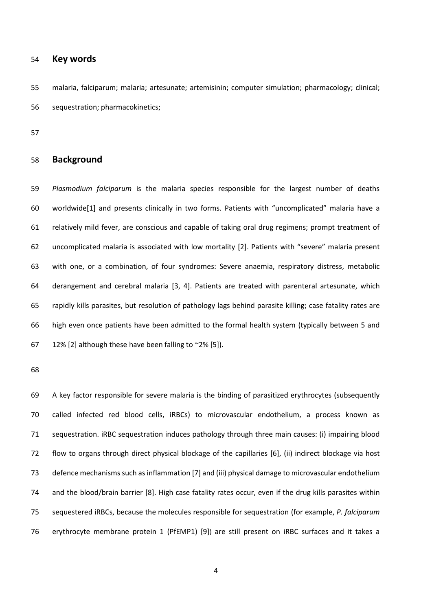## **Key words**

 malaria, falciparum; malaria; artesunate; artemisinin; computer simulation; pharmacology; clinical; sequestration; pharmacokinetics;

## **Background**

 *Plasmodium falciparum* is the malaria species responsible for the largest number of deaths worldwide[1] and presents clinically in two forms. Patients with "uncomplicated" malaria have a relatively mild fever, are conscious and capable of taking oral drug regimens; prompt treatment of uncomplicated malaria is associated with low mortality [2]. Patients with "severe" malaria present with one, or a combination, of four syndromes: Severe anaemia, respiratory distress, metabolic derangement and cerebral malaria [3, 4]. Patients are treated with parenteral artesunate, which rapidly kills parasites, but resolution of pathology lags behind parasite killing; case fatality rates are high even once patients have been admitted to the formal health system (typically between 5 and 67 12% [2] although these have been falling to  $\approx$  2% [5]).

 A key factor responsible for severe malaria is the binding of parasitized erythrocytes (subsequently called infected red blood cells, iRBCs) to microvascular endothelium, a process known as sequestration. iRBC sequestration induces pathology through three main causes: (i) impairing blood flow to organs through direct physical blockage of the capillaries [6], (ii) indirect blockage via host defence mechanisms such as inflammation [7] and (iii) physical damage to microvascular endothelium and the blood/brain barrier [8]. High case fatality rates occur, even if the drug kills parasites within sequestered iRBCs, because the molecules responsible for sequestration (for example, *P. falciparum* erythrocyte membrane protein 1 (PfEMP1) [9]) are still present on iRBC surfaces and it takes a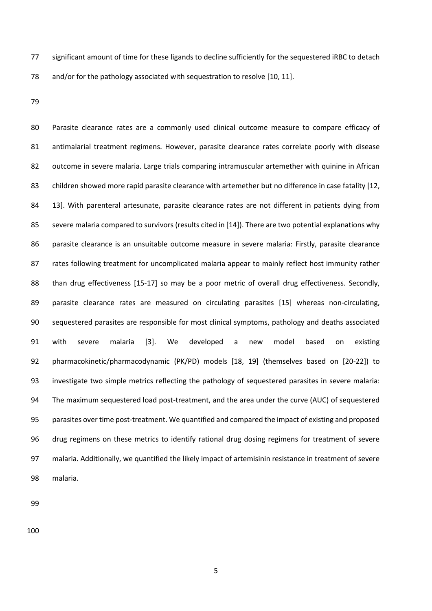significant amount of time for these ligands to decline sufficiently for the sequestered iRBC to detach 78 and/or for the pathology associated with sequestration to resolve [10, 11].

 Parasite clearance rates are a commonly used clinical outcome measure to compare efficacy of antimalarial treatment regimens. However, parasite clearance rates correlate poorly with disease outcome in severe malaria. Large trials comparing intramuscular artemether with quinine in African children showed more rapid parasite clearance with artemether but no difference in case fatality [12, 13]. With parenteral artesunate, parasite clearance rates are not different in patients dying from severe malaria compared to survivors (results cited in [14]). There are two potential explanations why parasite clearance is an unsuitable outcome measure in severe malaria: Firstly, parasite clearance rates following treatment for uncomplicated malaria appear to mainly reflect host immunity rather 88 than drug effectiveness [15-17] so may be a poor metric of overall drug effectiveness. Secondly, parasite clearance rates are measured on circulating parasites [15] whereas non-circulating, sequestered parasites are responsible for most clinical symptoms, pathology and deaths associated with severe malaria [3]. We developed a new model based on existing pharmacokinetic/pharmacodynamic (PK/PD) models [18, 19] (themselves based on [20-22]) to investigate two simple metrics reflecting the pathology of sequestered parasites in severe malaria: The maximum sequestered load post-treatment, and the area under the curve (AUC) of sequestered parasites over time post-treatment. We quantified and compared the impact of existing and proposed drug regimens on these metrics to identify rational drug dosing regimens for treatment of severe malaria. Additionally, we quantified the likely impact of artemisinin resistance in treatment of severe malaria.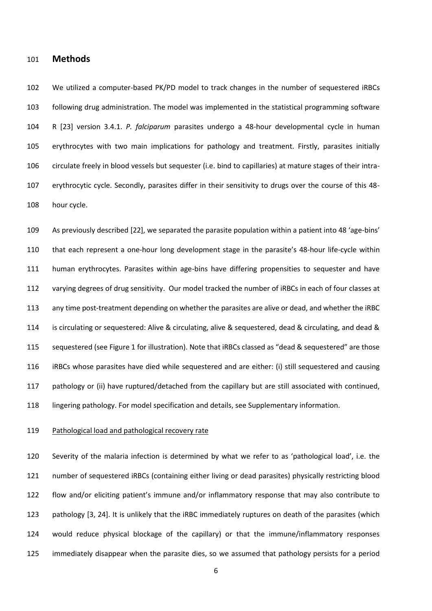## **Methods**

 We utilized a computer-based PK/PD model to track changes in the number of sequestered iRBCs following drug administration. The model was implemented in the statistical programming software R [23] version 3.4.1. *P. falciparum* parasites undergo a 48-hour developmental cycle in human erythrocytes with two main implications for pathology and treatment. Firstly, parasites initially circulate freely in blood vessels but sequester (i.e. bind to capillaries) at mature stages of their intra- erythrocytic cycle. Secondly, parasites differ in their sensitivity to drugs over the course of this 48- hour cycle.

 As previously described [22], we separated the parasite population within a patient into 48 'age-bins' that each represent a one-hour long development stage in the parasite's 48-hour life-cycle within human erythrocytes. Parasites within age-bins have differing propensities to sequester and have varying degrees of drug sensitivity. Our model tracked the number of iRBCs in each of four classes at any time post-treatment depending on whether the parasites are alive or dead, and whether the iRBC is circulating or sequestered: Alive & circulating, alive & sequestered, dead & circulating, and dead & sequestered (see Figure 1 for illustration). Note that iRBCs classed as "dead & sequestered" are those iRBCs whose parasites have died while sequestered and are either: (i) still sequestered and causing pathology or (ii) have ruptured/detached from the capillary but are still associated with continued, lingering pathology. For model specification and details, see Supplementary information.

#### 119 Pathological load and pathological recovery rate

 Severity of the malaria infection is determined by what we refer to as 'pathological load', i.e. the number of sequestered iRBCs (containing either living or dead parasites) physically restricting blood flow and/or eliciting patient's immune and/or inflammatory response that may also contribute to pathology [3, 24]. It is unlikely that the iRBC immediately ruptures on death of the parasites (which would reduce physical blockage of the capillary) or that the immune/inflammatory responses immediately disappear when the parasite dies, so we assumed that pathology persists for a period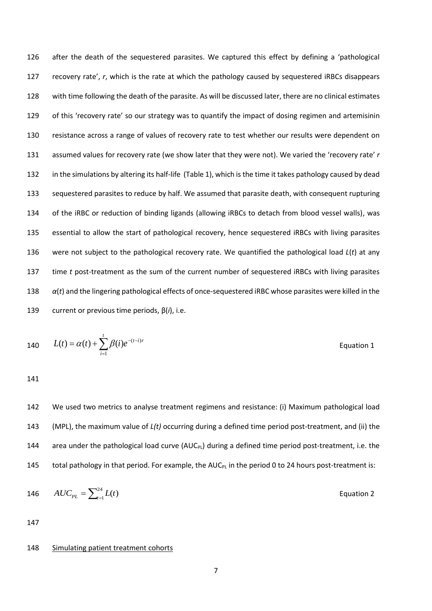after the death of the sequestered parasites. We captured this effect by defining a 'pathological recovery rate', *r*, which is the rate at which the pathology caused by sequestered iRBCs disappears with time following the death of the parasite. As will be discussed later, there are no clinical estimates of this 'recovery rate' so our strategy was to quantify the impact of dosing regimen and artemisinin resistance across a range of values of recovery rate to test whether our results were dependent on assumed values for recovery rate (we show later that they were not). We varied the 'recovery rate' *r*  in the simulations by altering its half-life (Table 1), which is the time it takes pathology caused by dead sequestered parasites to reduce by half. We assumed that parasite death, with consequent rupturing of the iRBC or reduction of binding ligands (allowing iRBCs to detach from blood vessel walls), was essential to allow the start of pathological recovery, hence sequestered iRBCs with living parasites were not subject to the pathological recovery rate. We quantified the pathological load *L*(*t*) at any time *t* post-treatment as the sum of the current number of sequestered iRBCs with living parasites *α*(*t*) and the lingering pathological effects of once-sequestered iRBC whose parasites were killed in the current or previous time periods, β(*i*), i.e.

140 
$$
L(t) = \alpha(t) + \sum_{i=1}^{t} \beta(i)e^{-(t-i)r}
$$
 Equation 1

141

142 We used two metrics to analyse treatment regimens and resistance: (i) Maximum pathological load 143 (MPL), the maximum value of *L(t)* occurring during a defined time period post-treatment, and (ii) the 144 area under the pathological load curve  $(AUC_{PL})$  during a defined time period post-treatment, i.e. the 145 total pathology in that period. For example, the  $AUC_{PL}$  in the period 0 to 24 hours post-treatment is:

$$
146 \qquad AUC_{PL} = \sum_{t=1}^{24} L(t) \qquad \qquad \text{Equation 2}
$$

147

#### 148 Simulating patient treatment cohorts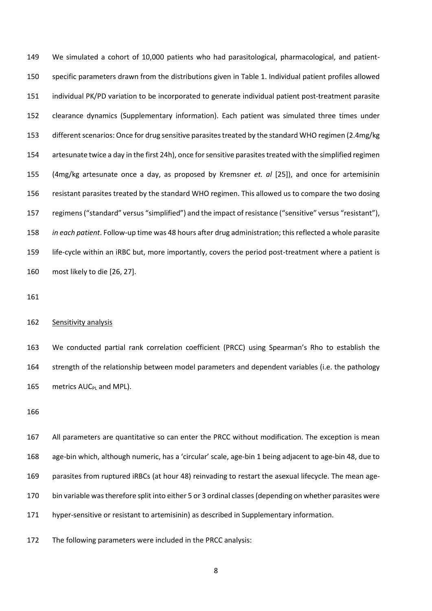We simulated a cohort of 10,000 patients who had parasitological, pharmacological, and patient- specific parameters drawn from the distributions given in Table 1. Individual patient profiles allowed individual PK/PD variation to be incorporated to generate individual patient post-treatment parasite clearance dynamics (Supplementary information). Each patient was simulated three times under different scenarios: Once for drug sensitive parasites treated by the standard WHO regimen (2.4mg/kg artesunate twice a day in the first 24h), once for sensitive parasites treated with the simplified regimen (4mg/kg artesunate once a day, as proposed by Kremsner *et. al* [25]), and once for artemisinin resistant parasites treated by the standard WHO regimen. This allowed us to compare the two dosing regimens ("standard" versus "simplified") and the impact of resistance ("sensitive" versus "resistant"), *in each patient*. Follow-up time was 48 hours after drug administration; this reflected a whole parasite life-cycle within an iRBC but, more importantly, covers the period post-treatment where a patient is most likely to die [26, 27].

## 162 Sensitivity analysis

 We conducted partial rank correlation coefficient (PRCC) using Spearman's Rho to establish the strength of the relationship between model parameters and dependent variables (i.e. the pathology 165 metrics AUC<sub>PL</sub> and MPL).

 All parameters are quantitative so can enter the PRCC without modification. The exception is mean age-bin which, although numeric, has a 'circular' scale, age-bin 1 being adjacent to age-bin 48, due to parasites from ruptured iRBCs (at hour 48) reinvading to restart the asexual lifecycle. The mean age- bin variable was therefore split into either 5 or 3 ordinal classes (depending on whether parasites were hyper-sensitive or resistant to artemisinin) as described in Supplementary information.

The following parameters were included in the PRCC analysis: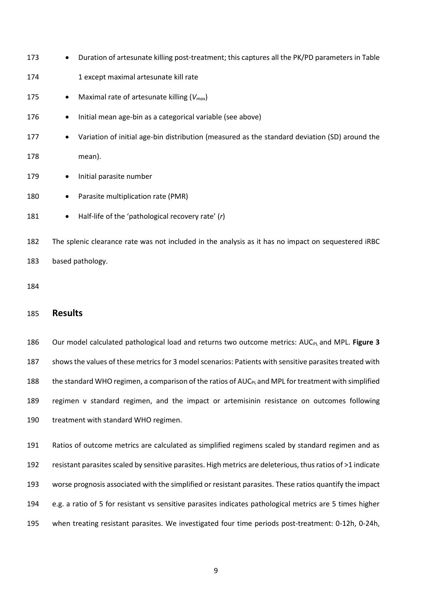- 173 Duration of artesunate killing post-treatment; this captures all the PK/PD parameters in Table
- 1 except maximal artesunate kill rate
- Maximal rate of artesunate killing (*Vmax*)
- 176 Initial mean age-bin as a categorical variable (see above)
- 177 Variation of initial age-bin distribution (measured as the standard deviation (SD) around the
- mean).
- 179 Initial parasite number
- 180 Parasite multiplication rate (PMR)
- Half-life of the 'pathological recovery rate' (*r*)

 The splenic clearance rate was not included in the analysis as it has no impact on sequestered iRBC based pathology.

## **Results**

186 Our model calculated pathological load and returns two outcome metrics: AUC<sub>PL</sub> and MPL. Figure 3 shows the values of these metrics for 3 model scenarios: Patients with sensitive parasites treated with 188 the standard WHO regimen, a comparison of the ratios of AUC<sub>PL</sub> and MPL for treatment with simplified regimen v standard regimen, and the impact or artemisinin resistance on outcomes following treatment with standard WHO regimen.

 Ratios of outcome metrics are calculated as simplified regimens scaled by standard regimen and as resistant parasites scaled by sensitive parasites. High metrics are deleterious, thus ratios of >1 indicate worse prognosis associated with the simplified or resistant parasites. These ratios quantify the impact e.g. a ratio of 5 for resistant vs sensitive parasites indicates pathological metrics are 5 times higher when treating resistant parasites. We investigated four time periods post-treatment: 0-12h, 0-24h,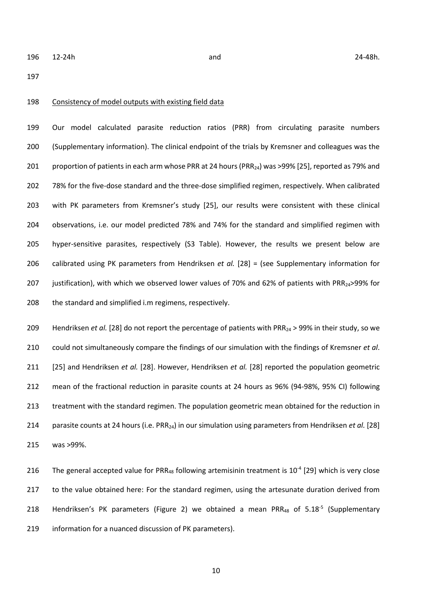#### Consistency of model outputs with existing field data

 Our model calculated parasite reduction ratios (PRR) from circulating parasite numbers (Supplementary information). The clinical endpoint of the trials by Kremsner and colleagues was the 201 proportion of patients in each arm whose PRR at 24 hours (PRR<sub>24</sub>) was >99% [25], reported as 79% and 78% for the five-dose standard and the three-dose simplified regimen, respectively. When calibrated with PK parameters from Kremsner's study [25], our results were consistent with these clinical observations, i.e. our model predicted 78% and 74% for the standard and simplified regimen with hyper-sensitive parasites, respectively (S3 Table). However, the results we present below are calibrated using PK parameters from Hendriksen *et al.* [28] = (see Supplementary information for 207 justification), with which we observed lower values of 70% and 62% of patients with PRR<sub>24</sub>>99% for 208 the standard and simplified i.m regimens, respectively.

209 Hendriksen *et al.* [28] do not report the percentage of patients with PRR<sub>24</sub> > 99% in their study, so we could not simultaneously compare the findings of our simulation with the findings of Kremsner *et al*. [25] and Hendriksen *et al.* [28]. However, Hendriksen *et al.* [28] reported the population geometric mean of the fractional reduction in parasite counts at 24 hours as 96% (94-98%, 95% CI) following treatment with the standard regimen. The population geometric mean obtained for the reduction in parasite counts at 24 hours (i.e. PRR24) in our simulation using parameters from Hendriksen *et al.* [28] was >99%.

216 The general accepted value for PRR<sub>48</sub> following artemisinin treatment is  $10^{-4}$  [29] which is very close 217 to the value obtained here: For the standard regimen, using the artesunate duration derived from 218 Hendriksen's PK parameters (Figure 2) we obtained a mean PRR<sub>48</sub> of  $5.18<sup>-5</sup>$  (Supplementary information for a nuanced discussion of PK parameters).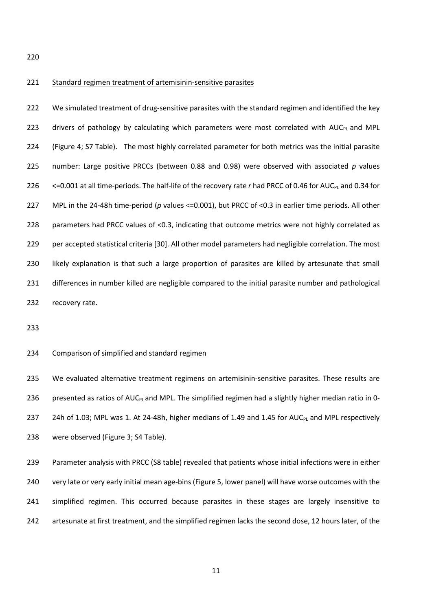### 221 Standard regimen treatment of artemisinin-sensitive parasites

 We simulated treatment of drug-sensitive parasites with the standard regimen and identified the key 223 drivers of pathology by calculating which parameters were most correlated with  $AUC_{PL}$  and MPL (Figure 4; S7 Table). The most highly correlated parameter for both metrics was the initial parasite number: Large positive PRCCs (between 0.88 and 0.98) were observed with associated *p* values 226 <=0.001 at all time-periods. The half-life of the recovery rate *r* had PRCC of 0.46 for AUC<sub>PL</sub> and 0.34 for MPL in the 24-48h time-period (*p* values <=0.001), but PRCC of <0.3 in earlier time periods. All other parameters had PRCC values of <0.3, indicating that outcome metrics were not highly correlated as per accepted statistical criteria [30]. All other model parameters had negligible correlation. The most likely explanation is that such a large proportion of parasites are killed by artesunate that small differences in number killed are negligible compared to the initial parasite number and pathological recovery rate.

## Comparison of simplified and standard regimen

 We evaluated alternative treatment regimens on artemisinin-sensitive parasites. These results are 236 presented as ratios of AUC<sub>PL</sub> and MPL. The simplified regimen had a slightly higher median ratio in 0-237 24h of 1.03; MPL was 1. At 24-48h, higher medians of 1.49 and 1.45 for AUC<sub>PL</sub> and MPL respectively were observed (Figure 3; S4 Table).

 Parameter analysis with PRCC (S8 table) revealed that patients whose initial infections were in either very late or very early initial mean age-bins (Figure 5, lower panel) will have worse outcomes with the simplified regimen. This occurred because parasites in these stages are largely insensitive to artesunate at first treatment, and the simplified regimen lacks the second dose, 12 hours later, of the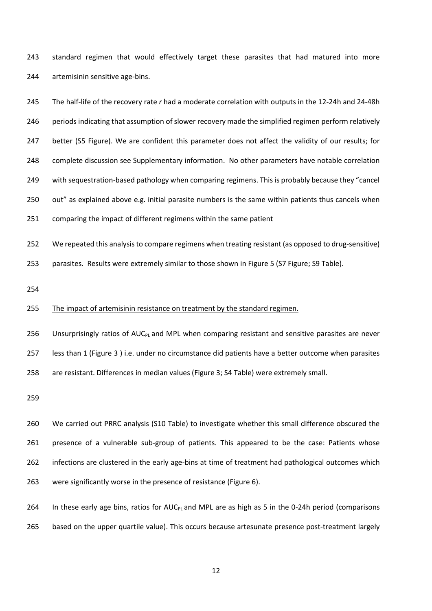standard regimen that would effectively target these parasites that had matured into more artemisinin sensitive age-bins.

 The half-life of the recovery rate *r* had a moderate correlation with outputs in the 12-24h and 24-48h periods indicating that assumption of slower recovery made the simplified regimen perform relatively 247 better (S5 Figure). We are confident this parameter does not affect the validity of our results; for complete discussion see Supplementary information. No other parameters have notable correlation with sequestration-based pathology when comparing regimens. This is probably because they "cancel out" as explained above e.g. initial parasite numbers is the same within patients thus cancels when comparing the impact of different regimens within the same patient

We repeated this analysis to compare regimens when treating resistant (as opposed to drug-sensitive)

parasites. Results were extremely similar to those shown in Figure 5 (S7 Figure; S9 Table).

#### 255 The impact of artemisinin resistance on treatment by the standard regimen.

256 Unsurprisingly ratios of  $AUC_{PL}$  and MPL when comparing resistant and sensitive parasites are never

less than 1 (Figure 3 ) i.e. under no circumstance did patients have a better outcome when parasites

are resistant. Differences in median values (Figure 3; S4 Table) were extremely small.

 We carried out PRRC analysis (S10 Table) to investigate whether this small difference obscured the presence of a vulnerable sub-group of patients. This appeared to be the case: Patients whose infections are clustered in the early age-bins at time of treatment had pathological outcomes which were significantly worse in the presence of resistance (Figure 6).

264 In these early age bins, ratios for  $AUC_{PL}$  and MPL are as high as 5 in the 0-24h period (comparisons based on the upper quartile value). This occurs because artesunate presence post-treatment largely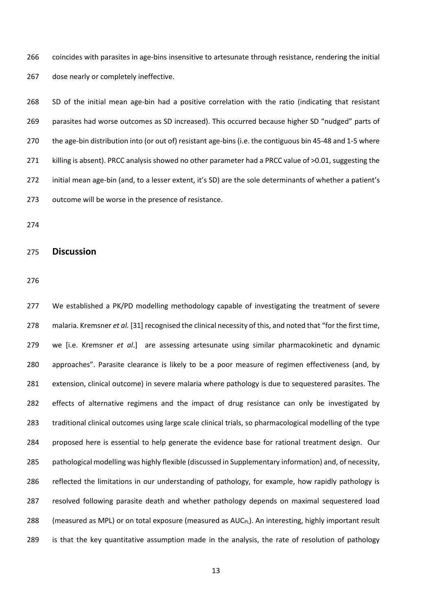coincides with parasites in age-bins insensitive to artesunate through resistance, rendering the initial 267 dose nearly or completely ineffective.

 SD of the initial mean age-bin had a positive correlation with the ratio (indicating that resistant parasites had worse outcomes as SD increased). This occurred because higher SD "nudged" parts of the age-bin distribution into (or out of) resistant age-bins (i.e. the contiguous bin 45-48 and 1-5 where killing is absent). PRCC analysis showed no other parameter had a PRCC value of >0.01, suggesting the initial mean age-bin (and, to a lesser extent, it's SD) are the sole determinants of whether a patient's outcome will be worse in the presence of resistance.

# **Discussion**

 We established a PK/PD modelling methodology capable of investigating the treatment of severe malaria. Kremsner *et al.* [31] recognised the clinical necessity of this, and noted that "for the first time, we [i.e. Kremsner *et al*.] are assessing artesunate using similar pharmacokinetic and dynamic approaches". Parasite clearance is likely to be a poor measure of regimen effectiveness (and, by extension, clinical outcome) in severe malaria where pathology is due to sequestered parasites. The effects of alternative regimens and the impact of drug resistance can only be investigated by traditional clinical outcomes using large scale clinical trials, so pharmacological modelling of the type proposed here is essential to help generate the evidence base for rational treatment design. Our pathological modelling was highly flexible (discussed in Supplementary information) and, of necessity, reflected the limitations in our understanding of pathology, for example, how rapidly pathology is resolved following parasite death and whether pathology depends on maximal sequestered load 288 (measured as MPL) or on total exposure (measured as  $AUC_{PL}$ ). An interesting, highly important result is that the key quantitative assumption made in the analysis, the rate of resolution of pathology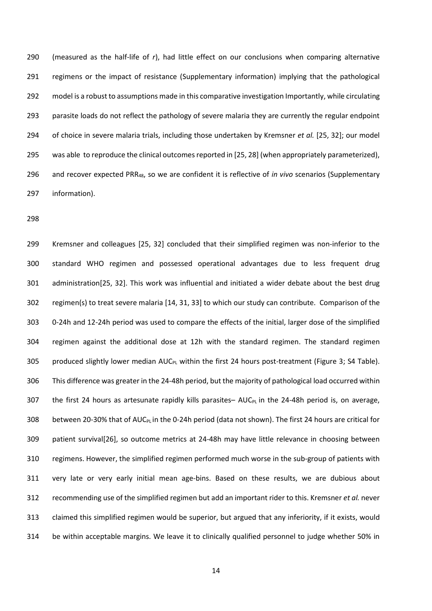(measured as the half-life of *r*), had little effect on our conclusions when comparing alternative regimens or the impact of resistance (Supplementary information) implying that the pathological model is a robust to assumptions made in this comparative investigation Importantly, while circulating 293 parasite loads do not reflect the pathology of severe malaria they are currently the regular endpoint of choice in severe malaria trials, including those undertaken by Kremsner *et al.* [25, 32]; our model 295 was able to reproduce the clinical outcomes reported in [25, 28] (when appropriately parameterized), and recover expected PRR48, so we are confident it is reflective of *in vivo* scenarios (Supplementary information).

 Kremsner and colleagues [25, 32] concluded that their simplified regimen was non-inferior to the standard WHO regimen and possessed operational advantages due to less frequent drug administration[25, 32]. This work was influential and initiated a wider debate about the best drug regimen(s) to treat severe malaria [14, 31, 33] to which our study can contribute. Comparison of the 0-24h and 12-24h period was used to compare the effects of the initial, larger dose of the simplified regimen against the additional dose at 12h with the standard regimen. The standard regimen 305 produced slightly lower median AUC<sub>PL</sub> within the first 24 hours post-treatment (Figure 3; S4 Table). This difference was greater in the 24-48h period, but the majority of pathological load occurred within 307 the first 24 hours as artesunate rapidly kills parasites–  $AUC_{PL}$  in the 24-48h period is, on average, 308 between 20-30% that of AUC<sub>PL</sub> in the 0-24h period (data not shown). The first 24 hours are critical for patient survival[26], so outcome metrics at 24-48h may have little relevance in choosing between regimens. However, the simplified regimen performed much worse in the sub-group of patients with very late or very early initial mean age-bins. Based on these results, we are dubious about recommending use of the simplified regimen but add an important rider to this. Kremsner *et al.* never claimed this simplified regimen would be superior, but argued that any inferiority, if it exists, would be within acceptable margins. We leave it to clinically qualified personnel to judge whether 50% in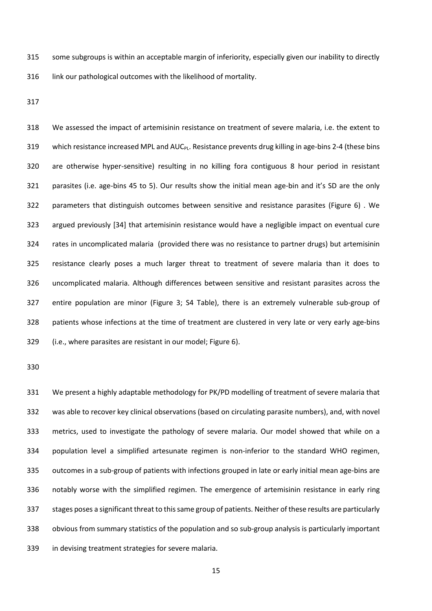some subgroups is within an acceptable margin of inferiority, especially given our inability to directly 316 link our pathological outcomes with the likelihood of mortality.

 We assessed the impact of artemisinin resistance on treatment of severe malaria, i.e. the extent to 319 which resistance increased MPL and AUC<sub>PL</sub>. Resistance prevents drug killing in age-bins 2-4 (these bins are otherwise hyper-sensitive) resulting in no killing fora contiguous 8 hour period in resistant parasites (i.e. age-bins 45 to 5). Our results show the initial mean age-bin and it's SD are the only parameters that distinguish outcomes between sensitive and resistance parasites (Figure 6) . We argued previously [34] that artemisinin resistance would have a negligible impact on eventual cure rates in uncomplicated malaria (provided there was no resistance to partner drugs) but artemisinin resistance clearly poses a much larger threat to treatment of severe malaria than it does to uncomplicated malaria. Although differences between sensitive and resistant parasites across the entire population are minor (Figure 3; S4 Table), there is an extremely vulnerable sub-group of patients whose infections at the time of treatment are clustered in very late or very early age-bins (i.e., where parasites are resistant in our model; Figure 6).

 We present a highly adaptable methodology for PK/PD modelling of treatment of severe malaria that was able to recover key clinical observations (based on circulating parasite numbers), and, with novel metrics, used to investigate the pathology of severe malaria. Our model showed that while on a population level a simplified artesunate regimen is non-inferior to the standard WHO regimen, outcomes in a sub-group of patients with infections grouped in late or early initial mean age-bins are notably worse with the simplified regimen. The emergence of artemisinin resistance in early ring stages poses a significant threat to this same group of patients. Neither of these results are particularly obvious from summary statistics of the population and so sub-group analysis is particularly important in devising treatment strategies for severe malaria.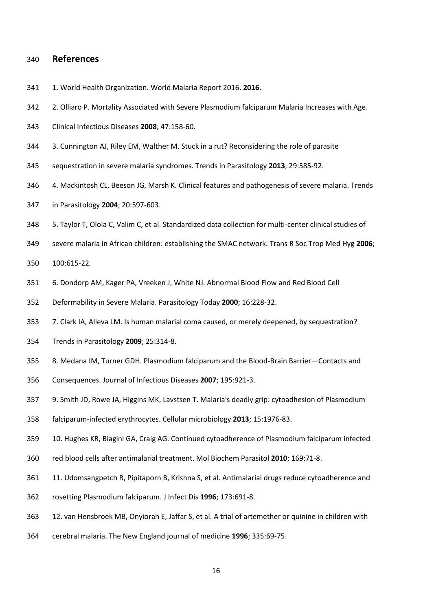# **References**

- 1. World Health Organization. World Malaria Report 2016. **2016**.
- 2. Olliaro P. Mortality Associated with Severe Plasmodium falciparum Malaria Increases with Age.
- Clinical Infectious Diseases **2008**; 47:158-60.
- 3. Cunnington AJ, Riley EM, Walther M. Stuck in a rut? Reconsidering the role of parasite
- sequestration in severe malaria syndromes. Trends in Parasitology **2013**; 29:585-92.
- 4. Mackintosh CL, Beeson JG, Marsh K. Clinical features and pathogenesis of severe malaria. Trends
- in Parasitology **2004**; 20:597-603.
- 5. Taylor T, Olola C, Valim C, et al. Standardized data collection for multi-center clinical studies of
- severe malaria in African children: establishing the SMAC network. Trans R Soc Trop Med Hyg **2006**;
- 100:615-22.
- 6. Dondorp AM, Kager PA, Vreeken J, White NJ. Abnormal Blood Flow and Red Blood Cell
- Deformability in Severe Malaria. Parasitology Today **2000**; 16:228-32.
- 7. Clark IA, Alleva LM. Is human malarial coma caused, or merely deepened, by sequestration?
- Trends in Parasitology **2009**; 25:314-8.
- 8. Medana IM, Turner GDH. Plasmodium falciparum and the Blood-Brain Barrier—Contacts and
- Consequences. Journal of Infectious Diseases **2007**; 195:921-3.
- 9. Smith JD, Rowe JA, Higgins MK, Lavstsen T. Malaria's deadly grip: cytoadhesion of Plasmodium
- falciparum-infected erythrocytes. Cellular microbiology **2013**; 15:1976-83.
- 10. Hughes KR, Biagini GA, Craig AG. Continued cytoadherence of Plasmodium falciparum infected
- red blood cells after antimalarial treatment. Mol Biochem Parasitol **2010**; 169:71-8.
- 11. Udomsangpetch R, Pipitaporn B, Krishna S, et al. Antimalarial drugs reduce cytoadherence and
- rosetting Plasmodium falciparum. J Infect Dis **1996**; 173:691-8.
- 12. van Hensbroek MB, Onyiorah E, Jaffar S, et al. A trial of artemether or quinine in children with
- cerebral malaria. The New England journal of medicine **1996**; 335:69-75.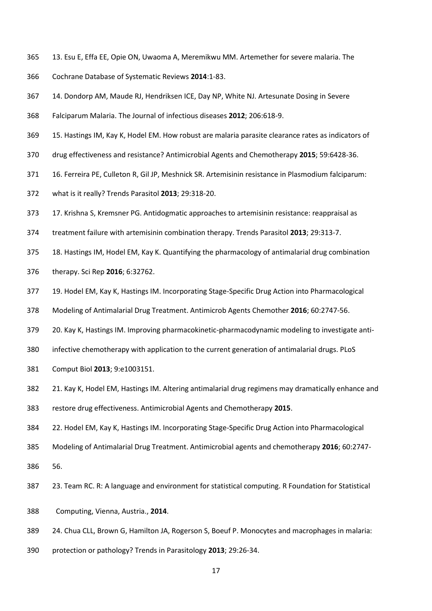- 13. Esu E, Effa EE, Opie ON, Uwaoma A, Meremikwu MM. Artemether for severe malaria. The
- Cochrane Database of Systematic Reviews **2014**:1-83.
- 14. Dondorp AM, Maude RJ, Hendriksen ICE, Day NP, White NJ. Artesunate Dosing in Severe
- Falciparum Malaria. The Journal of infectious diseases **2012**; 206:618-9.
- 15. Hastings IM, Kay K, Hodel EM. How robust are malaria parasite clearance rates as indicators of
- drug effectiveness and resistance? Antimicrobial Agents and Chemotherapy **2015**; 59:6428-36.
- 16. Ferreira PE, Culleton R, Gil JP, Meshnick SR. Artemisinin resistance in Plasmodium falciparum:
- what is it really? Trends Parasitol **2013**; 29:318-20.
- 17. Krishna S, Kremsner PG. Antidogmatic approaches to artemisinin resistance: reappraisal as
- treatment failure with artemisinin combination therapy. Trends Parasitol **2013**; 29:313-7.
- 18. Hastings IM, Hodel EM, Kay K. Quantifying the pharmacology of antimalarial drug combination
- therapy. Sci Rep **2016**; 6:32762.
- 19. Hodel EM, Kay K, Hastings IM. Incorporating Stage-Specific Drug Action into Pharmacological
- Modeling of Antimalarial Drug Treatment. Antimicrob Agents Chemother **2016**; 60:2747-56.
- 379 20. Kay K, Hastings IM. Improving pharmacokinetic-pharmacodynamic modeling to investigate anti-
- infective chemotherapy with application to the current generation of antimalarial drugs. PLoS
- Comput Biol **2013**; 9:e1003151.
- 21. Kay K, Hodel EM, Hastings IM. Altering antimalarial drug regimens may dramatically enhance and
- restore drug effectiveness. Antimicrobial Agents and Chemotherapy **2015**.
- 22. Hodel EM, Kay K, Hastings IM. Incorporating Stage-Specific Drug Action into Pharmacological
- Modeling of Antimalarial Drug Treatment. Antimicrobial agents and chemotherapy **2016**; 60:2747-
- 56.
- 23. Team RC. R: A language and environment for statistical computing. R Foundation for Statistical
- 388 Computing, Vienna, Austria., **2014**.
- 24. Chua CLL, Brown G, Hamilton JA, Rogerson S, Boeuf P. Monocytes and macrophages in malaria:
- protection or pathology? Trends in Parasitology **2013**; 29:26-34.